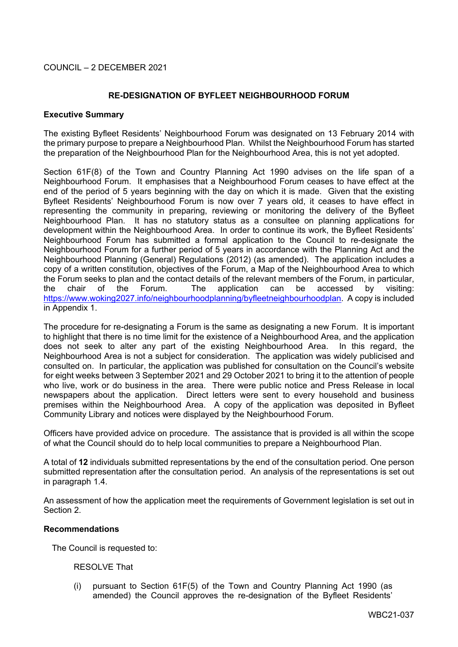## **RE-DESIGNATION OF BYFLEET NEIGHBOURHOOD FORUM**

#### **Executive Summary**

The existing Byfleet Residents' Neighbourhood Forum was designated on 13 February 2014 with the primary purpose to prepare a Neighbourhood Plan. Whilst the Neighbourhood Forum has started the preparation of the Neighbourhood Plan for the Neighbourhood Area, this is not yet adopted.

Section 61F(8) of the Town and Country Planning Act 1990 advises on the life span of a Neighbourhood Forum. It emphasises that a Neighbourhood Forum ceases to have effect at the end of the period of 5 years beginning with the day on which it is made. Given that the existing Byfleet Residents' Neighbourhood Forum is now over 7 years old, it ceases to have effect in representing the community in preparing, reviewing or monitoring the delivery of the Byfleet Neighbourhood Plan. It has no statutory status as a consultee on planning applications for development within the Neighbourhood Area. In order to continue its work, the Byfleet Residents' Neighbourhood Forum has submitted a formal application to the Council to re-designate the Neighbourhood Forum for a further period of 5 years in accordance with the Planning Act and the Neighbourhood Planning (General) Regulations (2012) (as amended). The application includes a copy of a written constitution, objectives of the Forum, a Map of the Neighbourhood Area to which the Forum seeks to plan and the contact details of the relevant members of the Forum, in particular, the chair of the Forum. The application can be accessed by visiting: [https://www.woking2027.info/neighbourhoodplanning/byfleetneighbourhoodplan.](https://www.woking2027.info/neighbourhoodplanning/byfleetneighbourhoodplan) A copy is included in Appendix 1.

The procedure for re-designating a Forum is the same as designating a new Forum. It is important to highlight that there is no time limit for the existence of a Neighbourhood Area, and the application does not seek to alter any part of the existing Neighbourhood Area. In this regard, the Neighbourhood Area is not a subject for consideration. The application was widely publicised and consulted on. In particular, the application was published for consultation on the Council's website for eight weeks between 3 September 2021 and 29 October 2021 to bring it to the attention of people who live, work or do business in the area. There were public notice and Press Release in local newspapers about the application. Direct letters were sent to every household and business premises within the Neighbourhood Area. A copy of the application was deposited in Byfleet Community Library and notices were displayed by the Neighbourhood Forum.

Officers have provided advice on procedure. The assistance that is provided is all within the scope of what the Council should do to help local communities to prepare a Neighbourhood Plan.

A total of **12** individuals submitted representations by the end of the consultation period. One person submitted representation after the consultation period. An analysis of the representations is set out in paragraph 1.4.

An assessment of how the application meet the requirements of Government legislation is set out in Section 2.

### **Recommendations**

The Council is requested to:

### RESOLVE That

(i) pursuant to Section 61F(5) of the Town and Country Planning Act 1990 (as amended) the Council approves the re-designation of the Byfleet Residents'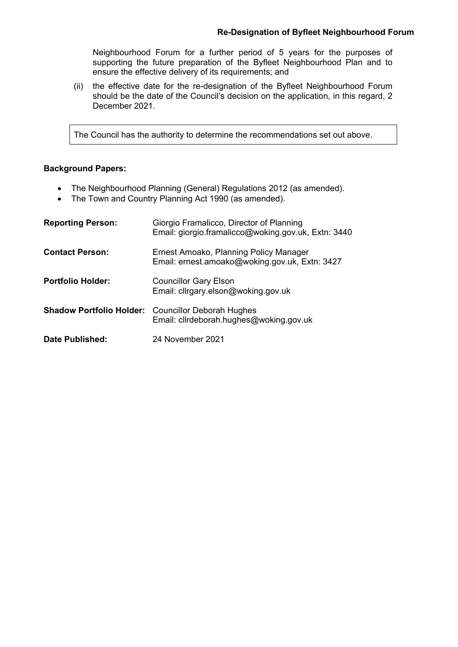Neighbourhood Forum for a further period of 5 years for the purposes of supporting the future preparation of the Byfleet Neighbourhood Plan and to ensure the effective delivery of its requirements; and

(ii) the effective date for the re-designation of the Byfleet Neighbourhood Forum should be the date of the Council's decision on the application, in this regard, 2 December 2021.

The Council has the authority to determine the recommendations set out above.

## **Background Papers:**

- The Neighbourhood Planning (General) Regulations 2012 (as amended).
- The Town and Country Planning Act 1990 (as amended).

| <b>Reporting Person:</b> | Giorgio Framalicco, Director of Planning<br>Email: giorgio.framalicco@woking.gov.uk, Extn: 3440      |
|--------------------------|------------------------------------------------------------------------------------------------------|
| <b>Contact Person:</b>   | Ernest Amoako, Planning Policy Manager<br>Email: ernest.amoako@woking.gov.uk, Extn: 3427             |
| <b>Portfolio Holder:</b> | <b>Councillor Gary Elson</b><br>Email: cllrgary.elson@woking.gov.uk                                  |
|                          | <b>Shadow Portfolio Holder:</b> Councillor Deborah Hughes<br>Email: cllrdeborah.hughes@woking.gov.uk |
| <b>Date Published:</b>   | 24 November 2021                                                                                     |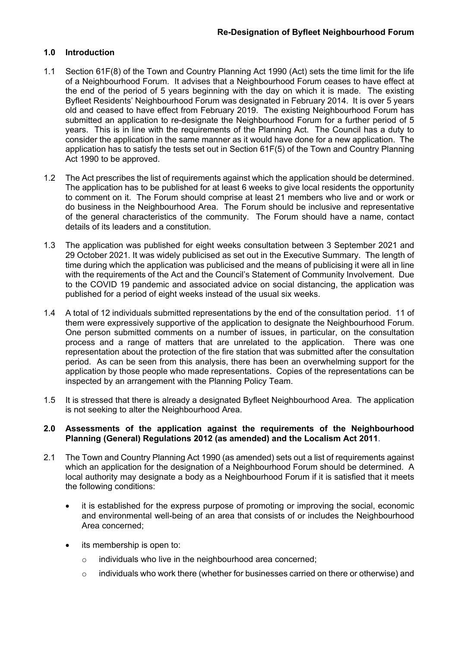## **1.0 Introduction**

- 1.1 Section 61F(8) of the Town and Country Planning Act 1990 (Act) sets the time limit for the life of a Neighbourhood Forum. It advises that a Neighbourhood Forum ceases to have effect at the end of the period of 5 years beginning with the day on which it is made. The existing Byfleet Residents' Neighbourhood Forum was designated in February 2014. It is over 5 years old and ceased to have effect from February 2019. The existing Neighbourhood Forum has submitted an application to re-designate the Neighbourhood Forum for a further period of 5 years. This is in line with the requirements of the Planning Act. The Council has a duty to consider the application in the same manner as it would have done for a new application. The application has to satisfy the tests set out in Section 61F(5) of the Town and Country Planning Act 1990 to be approved.
- 1.2 The Act prescribes the list of requirements against which the application should be determined. The application has to be published for at least 6 weeks to give local residents the opportunity to comment on it. The Forum should comprise at least 21 members who live and or work or do business in the Neighbourhood Area. The Forum should be inclusive and representative of the general characteristics of the community. The Forum should have a name, contact details of its leaders and a constitution.
- 1.3 The application was published for eight weeks consultation between 3 September 2021 and 29 October 2021. It was widely publicised as set out in the Executive Summary. The length of time during which the application was publicised and the means of publicising it were all in line with the requirements of the Act and the Council's Statement of Community Involvement. Due to the COVID 19 pandemic and associated advice on social distancing, the application was published for a period of eight weeks instead of the usual six weeks.
- 1.4 A total of 12 individuals submitted representations by the end of the consultation period. 11 of them were expressively supportive of the application to designate the Neighbourhood Forum. One person submitted comments on a number of issues, in particular, on the consultation process and a range of matters that are unrelated to the application. There was one representation about the protection of the fire station that was submitted after the consultation period. As can be seen from this analysis, there has been an overwhelming support for the application by those people who made representations. Copies of the representations can be inspected by an arrangement with the Planning Policy Team.
- 1.5 It is stressed that there is already a designated Byfleet Neighbourhood Area. The application is not seeking to alter the Neighbourhood Area.

### **2.0 Assessments of the application against the requirements of the Neighbourhood Planning (General) Regulations 2012 (as amended) and the Localism Act 2011**.

- 2.1 The Town and Country Planning Act 1990 (as amended) sets out a list of requirements against which an application for the designation of a Neighbourhood Forum should be determined. A local authority may designate a body as a Neighbourhood Forum if it is satisfied that it meets the following conditions:
	- it is established for the express purpose of promoting or improving the social, economic and environmental well-being of an area that consists of or includes the Neighbourhood Area concerned;
	- its membership is open to:
		- o individuals who live in the neighbourhood area concerned;
		- $\circ$  individuals who work there (whether for businesses carried on there or otherwise) and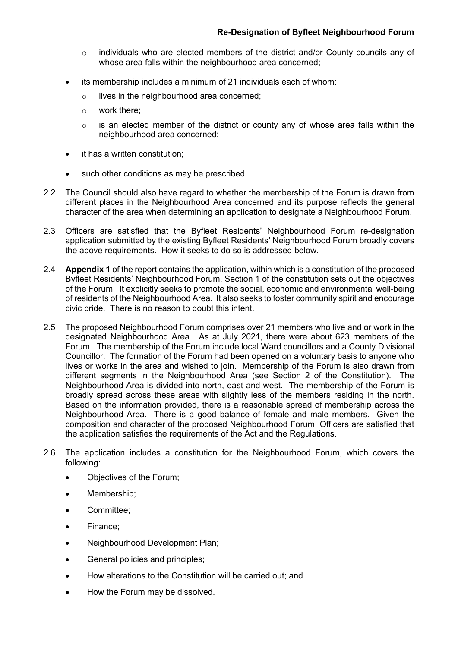- o individuals who are elected members of the district and/or County councils any of whose area falls within the neighbourhood area concerned;
- its membership includes a minimum of 21 individuals each of whom:
	- o lives in the neighbourhood area concerned;
	- o work there;
	- $\circ$  is an elected member of the district or county any of whose area falls within the neighbourhood area concerned;
- it has a written constitution;
- such other conditions as may be prescribed.
- 2.2 The Council should also have regard to whether the membership of the Forum is drawn from different places in the Neighbourhood Area concerned and its purpose reflects the general character of the area when determining an application to designate a Neighbourhood Forum.
- 2.3 Officers are satisfied that the Byfleet Residents' Neighbourhood Forum re-designation application submitted by the existing Byfleet Residents' Neighbourhood Forum broadly covers the above requirements. How it seeks to do so is addressed below.
- 2.4 **Appendix 1** of the report contains the application, within which is a constitution of the proposed Byfleet Residents' Neighbourhood Forum. Section 1 of the constitution sets out the objectives of the Forum. It explicitly seeks to promote the social, economic and environmental well-being of residents of the Neighbourhood Area. It also seeks to foster community spirit and encourage civic pride. There is no reason to doubt this intent.
- 2.5 The proposed Neighbourhood Forum comprises over 21 members who live and or work in the designated Neighbourhood Area. As at July 2021, there were about 623 members of the Forum. The membership of the Forum include local Ward councillors and a County Divisional Councillor. The formation of the Forum had been opened on a voluntary basis to anyone who lives or works in the area and wished to join. Membership of the Forum is also drawn from different segments in the Neighbourhood Area (see Section 2 of the Constitution). The Neighbourhood Area is divided into north, east and west. The membership of the Forum is broadly spread across these areas with slightly less of the members residing in the north. Based on the information provided, there is a reasonable spread of membership across the Neighbourhood Area. There is a good balance of female and male members. Given the composition and character of the proposed Neighbourhood Forum, Officers are satisfied that the application satisfies the requirements of the Act and the Regulations.
- 2.6 The application includes a constitution for the Neighbourhood Forum, which covers the following:
	- Objectives of the Forum;
	- Membership;
	- Committee;
	- Finance;
	- Neighbourhood Development Plan;
	- General policies and principles;
	- How alterations to the Constitution will be carried out; and
	- How the Forum may be dissolved.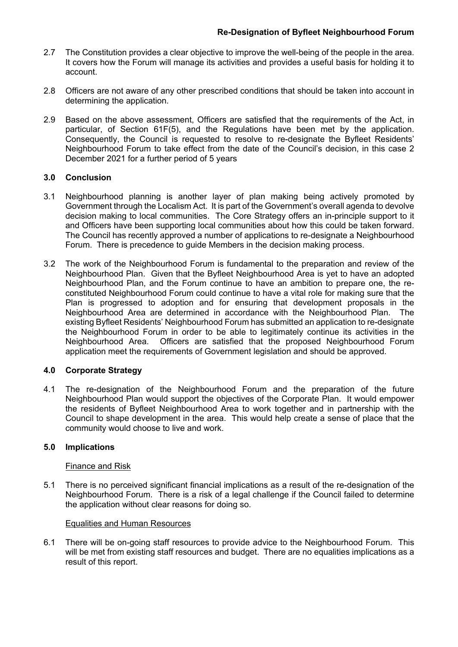- 2.7 The Constitution provides a clear objective to improve the well-being of the people in the area. It covers how the Forum will manage its activities and provides a useful basis for holding it to account.
- 2.8 Officers are not aware of any other prescribed conditions that should be taken into account in determining the application.
- 2.9 Based on the above assessment, Officers are satisfied that the requirements of the Act, in particular, of Section 61F(5), and the Regulations have been met by the application. Consequently, the Council is requested to resolve to re-designate the Byfleet Residents' Neighbourhood Forum to take effect from the date of the Council's decision, in this case 2 December 2021 for a further period of 5 years

## **3.0 Conclusion**

- 3.1 Neighbourhood planning is another layer of plan making being actively promoted by Government through the Localism Act. It is part of the Government's overall agenda to devolve decision making to local communities. The Core Strategy offers an in-principle support to it and Officers have been supporting local communities about how this could be taken forward. The Council has recently approved a number of applications to re-designate a Neighbourhood Forum. There is precedence to guide Members in the decision making process.
- 3.2 The work of the Neighbourhood Forum is fundamental to the preparation and review of the Neighbourhood Plan. Given that the Byfleet Neighbourhood Area is yet to have an adopted Neighbourhood Plan, and the Forum continue to have an ambition to prepare one, the reconstituted Neighbourhood Forum could continue to have a vital role for making sure that the Plan is progressed to adoption and for ensuring that development proposals in the Neighbourhood Area are determined in accordance with the Neighbourhood Plan. The existing Byfleet Residents' Neighbourhood Forum has submitted an application to re-designate the Neighbourhood Forum in order to be able to legitimately continue its activities in the Neighbourhood Area. Officers are satisfied that the proposed Neighbourhood Forum application meet the requirements of Government legislation and should be approved.

# **4.0 Corporate Strategy**

4.1 The re-designation of the Neighbourhood Forum and the preparation of the future Neighbourhood Plan would support the objectives of the Corporate Plan. It would empower the residents of Byfleet Neighbourhood Area to work together and in partnership with the Council to shape development in the area. This would help create a sense of place that the community would choose to live and work.

## **5.0 Implications**

## Finance and Risk

5.1 There is no perceived significant financial implications as a result of the re-designation of the Neighbourhood Forum. There is a risk of a legal challenge if the Council failed to determine the application without clear reasons for doing so.

## Equalities and Human Resources

6.1 There will be on-going staff resources to provide advice to the Neighbourhood Forum. This will be met from existing staff resources and budget. There are no equalities implications as a result of this report.